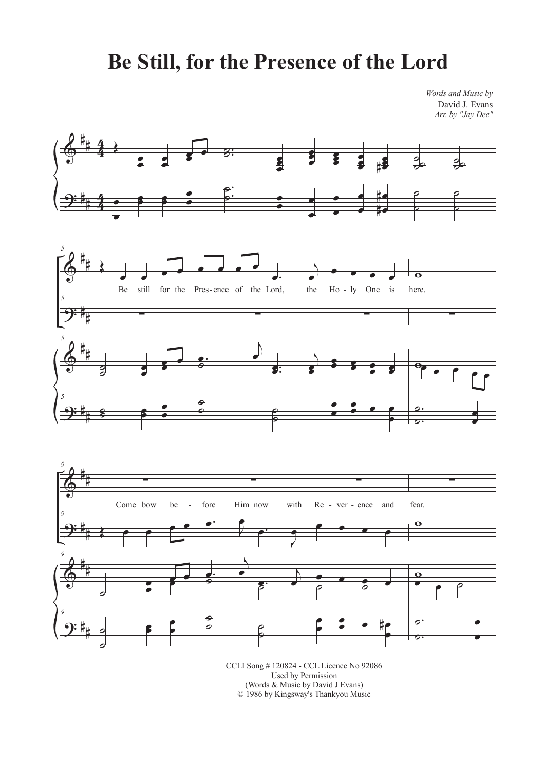## **Be Still, for the Presence of the Lord**

*Words and Music by* David J. Evans *Arr. by "Jay Dee"*



Used by Permission (Words & Music by David J Evans) © 1986 by Kingsway's Thankyou Music